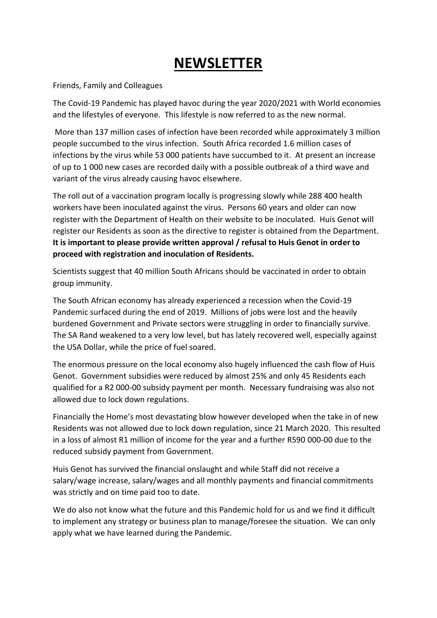## **NEWSLETTER**

## Friends, Family and Colleagues

The Covid-19 Pandemic has played havoc during the year 2020/2021 with World economies and the lifestyles of everyone. This lifestyle is now referred to as the new normal.

More than 137 million cases of infection have been recorded while approximately 3 million people succumbed to the virus infection. South Africa recorded 1.6 million cases of infections by the virus while 53 000 patients have succumbed to it. At present an increase of up to 1 000 new cases are recorded daily with a possible outbreak of a third wave and variant of the virus already causing havoc elsewhere.

The roll out of a vaccination program locally is progressing slowly while 288 400 health workers have been inoculated against the virus. Persons 60 years and older can now register with the Department of Health on their website to be inoculated. Huis Genot will register our Residents as soon as the directive to register is obtained from the Department. **It is important to please provide written approval / refusal to Huis Genot in order to proceed with registration and inoculation of Residents.**

Scientists suggest that 40 million South Africans should be vaccinated in order to obtain group immunity.

The South African economy has already experienced a recession when the Covid-19 Pandemic surfaced during the end of 2019. Millions of jobs were lost and the heavily burdened Government and Private sectors were struggling in order to financially survive. The SA Rand weakened to a very low level, but has lately recovered well, especially against the USA Dollar, while the price of fuel soared.

The enormous pressure on the local economy also hugely influenced the cash flow of Huis Genot. Government subsidies were reduced by almost 25% and only 45 Residents each qualified for a R2 000-00 subsidy payment per month. Necessary fundraising was also not allowed due to lock down regulations.

Financially the Home's most devastating blow however developed when the take in of new Residents was not allowed due to lock down regulation, since 21 March 2020. This resulted in a loss of almost R1 million of income for the year and a further R590 000-00 due to the reduced subsidy payment from Government.

Huis Genot has survived the financial onslaught and while Staff did not receive a salary/wage increase, salary/wages and all monthly payments and financial commitments was strictly and on time paid too to date.

We do also not know what the future and this Pandemic hold for us and we find it difficult to implement any strategy or business plan to manage/foresee the situation. We can only apply what we have learned during the Pandemic.